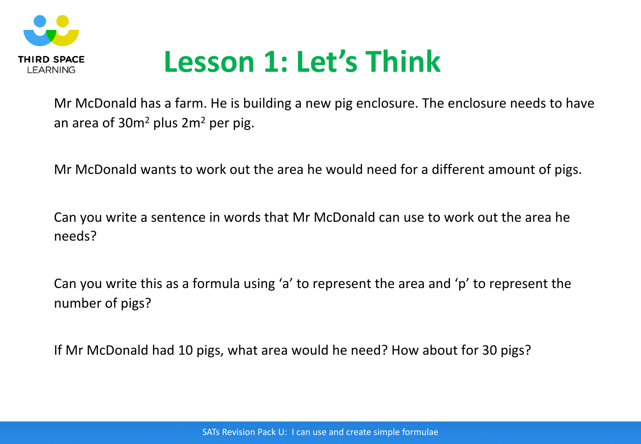

## **Lesson 1: Let's Think**

Mr McDonald has a farm. He is building a new pig enclosure. The enclosure needs to have an area of  $30m^2$  plus  $2m^2$  per pig.

Mr McDonald wants to work out the area he would need for a different amount of pigs.

Can you write a sentence in words that Mr McDonald can use to work out the area he needs?

Can you write this as a formula using 'a' to represent the area and 'p' to represent the number of pigs?

If Mr McDonald had 10 pigs, what area would he need? How about for 30 pigs?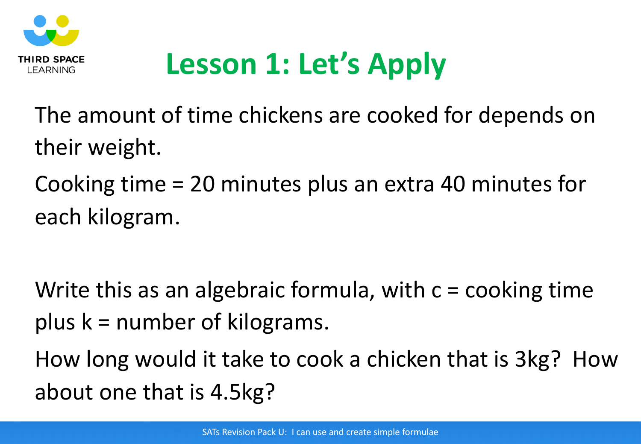

# **Lesson 1: Let's Apply**

The amount of time chickens are cooked for depends on their weight.

Cooking time = 20 minutes plus an extra 40 minutes for each kilogram.

Write this as an algebraic formula, with  $c = \text{cooking time}$ plus k = number of kilograms.

How long would it take to cook a chicken that is 3kg? How about one that is 4.5kg?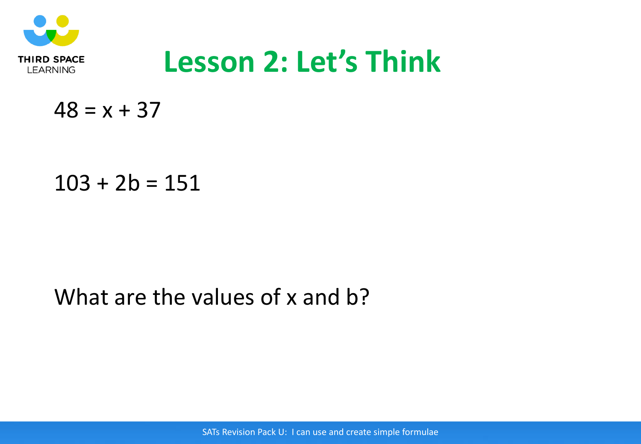

## **Lesson 2: Let's Think**

 $48 = x + 37$ 

### $103 + 2b = 151$

### What are the values of x and b?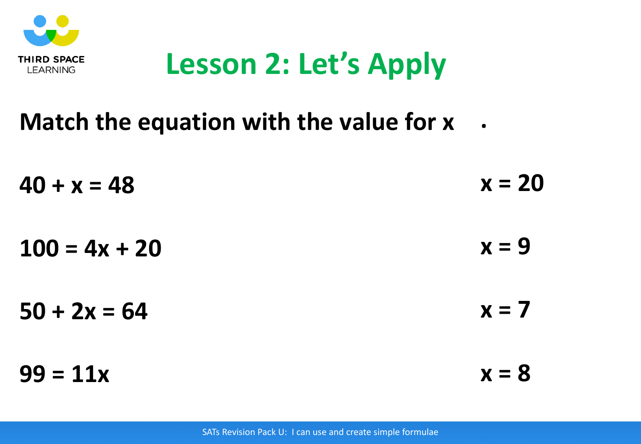

## **Lesson 2: Let's Apply**

#### **Match the equation with the value for x .**

| $40 + x = 48$   | $x = 20$ |
|-----------------|----------|
| $100 = 4x + 20$ | $x = 9$  |
| $50 + 2x = 64$  | $x = 7$  |
| $99 = 11x$      | $x = 8$  |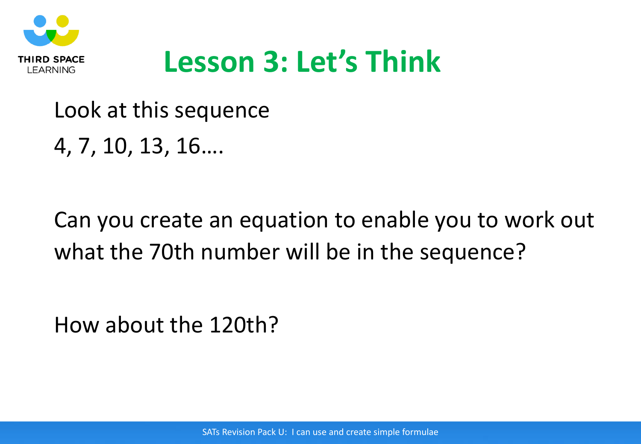

## **Lesson 3: Let's Think**

## Look at this sequence 4, 7, 10, 13, 16….

## Can you create an equation to enable you to work out what the 70th number will be in the sequence?

How about the 120th?